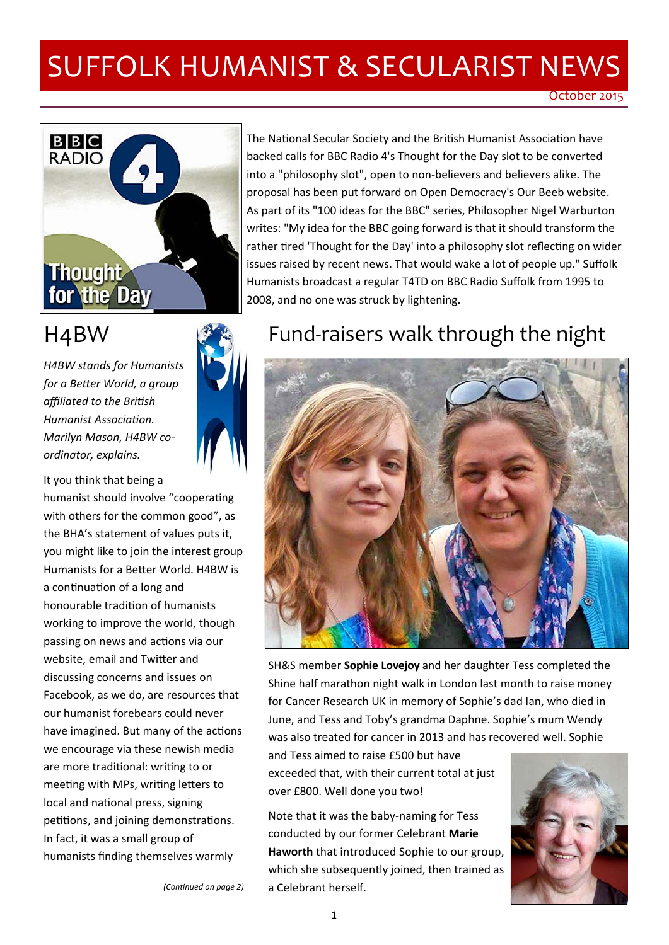# SUFFOLK HUMANIST & SECULARIST NEWS



*H4BW stands for Humanists for a BeƩer World, a group affiliated to the BriƟsh Humanist AssociaƟon. Marilyn Mason, H4BW co‐ ordinator, explains.* 

It you think that being a humanist should involve "cooperating with others for the common good", as the BHA's statement of values puts it, you might like to join the interest group Humanists for a Better World. H4BW is a continuation of a long and honourable tradition of humanists working to improve the world, though passing on news and actions via our website, email and Twitter and discussing concerns and issues on Facebook, as we do, are resources that our humanist forebears could never have imagined. But many of the actions we encourage via these newish media are more traditional: writing to or meeting with MPs, writing letters to local and national press, signing petitions, and joining demonstrations. In fact, it was a small group of humanists finding themselves warmly

The National Secular Society and the British Humanist Association have backed calls for BBC Radio 4's Thought for the Day slot to be converted into a "philosophy slot", open to non‐believers and believers alike. The proposal has been put forward on Open Democracy's Our Beeb website. As part of its "100 ideas for the BBC" series, Philosopher Nigel Warburton writes: "My idea for the BBC going forward is that it should transform the rather tired 'Thought for the Day' into a philosophy slot reflecting on wider issues raised by recent news. That would wake a lot of people up." Suffolk Humanists broadcast a regular T4TD on BBC Radio Suffolk from 1995 to 2008, and no one was struck by lightening.

### H4BW **Fund-raisers walk through the night**



SH&S member **Sophie Lovejoy** and her daughter Tess completed the Shine half marathon night walk in London last month to raise money for Cancer Research UK in memory of Sophie's dad Ian, who died in June, and Tess and Toby's grandma Daphne. Sophie's mum Wendy was also treated for cancer in 2013 and has recovered well. Sophie

and Tess aimed to raise £500 but have exceeded that, with their current total at just over £800. Well done you two!

Note that it was the baby‐naming for Tess conducted by our former Celebrant **Marie Haworth** that introduced Sophie to our group, which she subsequently joined, then trained as a Celebrant herself.



*(ConƟnued on page 2)*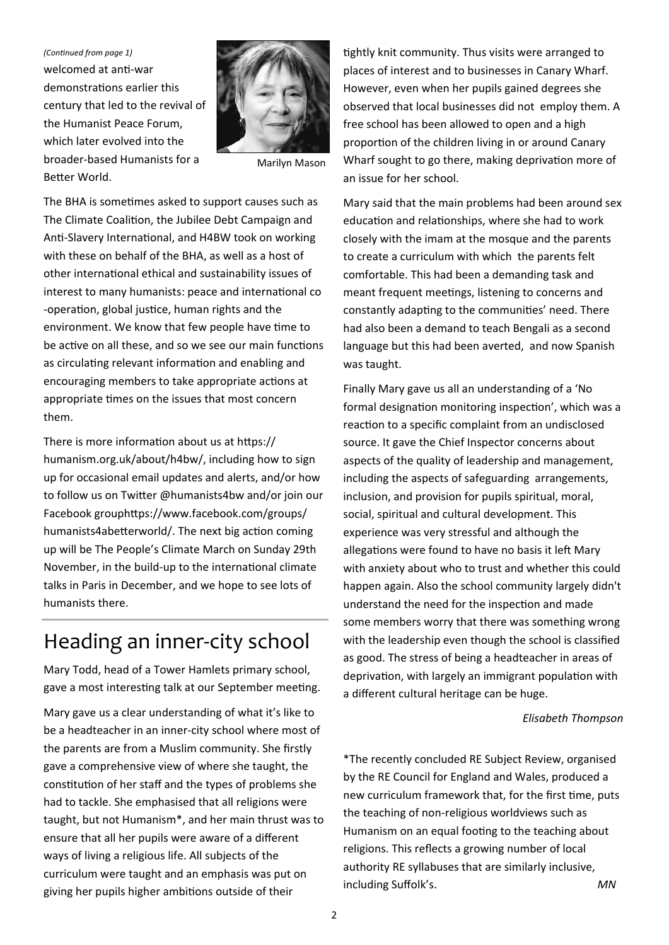welcomed at anti-war demonstrations earlier this century that led to the revival of the Humanist Peace Forum, which later evolved into the broader‐based Humanists for a Better World. *(ConƟnued from page 1)* 



Marilyn Mason

The BHA is sometimes asked to support causes such as The Climate Coalition, the Jubilee Debt Campaign and Anti-Slavery International, and H4BW took on working with these on behalf of the BHA, as well as a host of other international ethical and sustainability issues of interest to many humanists: peace and international co ‐operaƟon, global jusƟce, human rights and the environment. We know that few people have time to be active on all these, and so we see our main functions as circulating relevant information and enabling and encouraging members to take appropriate actions at appropriate times on the issues that most concern them.

There is more information about us at https:// humanism.org.uk/about/h4bw/, including how to sign up for occasional email updates and alerts, and/or how to follow us on Twitter @humanists4bw and/or join our Facebook grouphttps://www.facebook.com/groups/ humanists4abetterworld/. The next big action coming up will be The People's Climate March on Sunday 29th November, in the build-up to the international climate talks in Paris in December, and we hope to see lots of humanists there.

## Heading an inner‐city school

Mary Todd, head of a Tower Hamlets primary school, gave a most interesting talk at our September meeting.

Mary gave us a clear understanding of what it's like to be a headteacher in an inner‐city school where most of the parents are from a Muslim community. She firstly gave a comprehensive view of where she taught, the constitution of her staff and the types of problems she had to tackle. She emphasised that all religions were taught, but not Humanism\*, and her main thrust was to ensure that all her pupils were aware of a different ways of living a religious life. All subjects of the curriculum were taught and an emphasis was put on giving her pupils higher ambitions outside of their

tightly knit community. Thus visits were arranged to places of interest and to businesses in Canary Wharf. However, even when her pupils gained degrees she observed that local businesses did not employ them. A free school has been allowed to open and a high proportion of the children living in or around Canary Wharf sought to go there, making deprivation more of an issue for her school.

Mary said that the main problems had been around sex education and relationships, where she had to work closely with the imam at the mosque and the parents to create a curriculum with which the parents felt comfortable. This had been a demanding task and meant frequent meetings, listening to concerns and constantly adapting to the communities' need. There had also been a demand to teach Bengali as a second language but this had been averted, and now Spanish was taught.

Finally Mary gave us all an understanding of a 'No formal designation monitoring inspection', which was a reaction to a specific complaint from an undisclosed source. It gave the Chief Inspector concerns about aspects of the quality of leadership and management, including the aspects of safeguarding arrangements, inclusion, and provision for pupils spiritual, moral, social, spiritual and cultural development. This experience was very stressful and although the allegations were found to have no basis it left Mary with anxiety about who to trust and whether this could happen again. Also the school community largely didn't understand the need for the inspection and made some members worry that there was something wrong with the leadership even though the school is classified as good. The stress of being a headteacher in areas of deprivation, with largely an immigrant population with a different cultural heritage can be huge.

#### *Elisabeth Thompson*

\*The recently concluded RE Subject Review, organised by the RE Council for England and Wales, produced a new curriculum framework that, for the first time, puts the teaching of non‐religious worldviews such as Humanism on an equal footing to the teaching about religions. This reflects a growing number of local authority RE syllabuses that are similarly inclusive, including Suffolk's. *MN*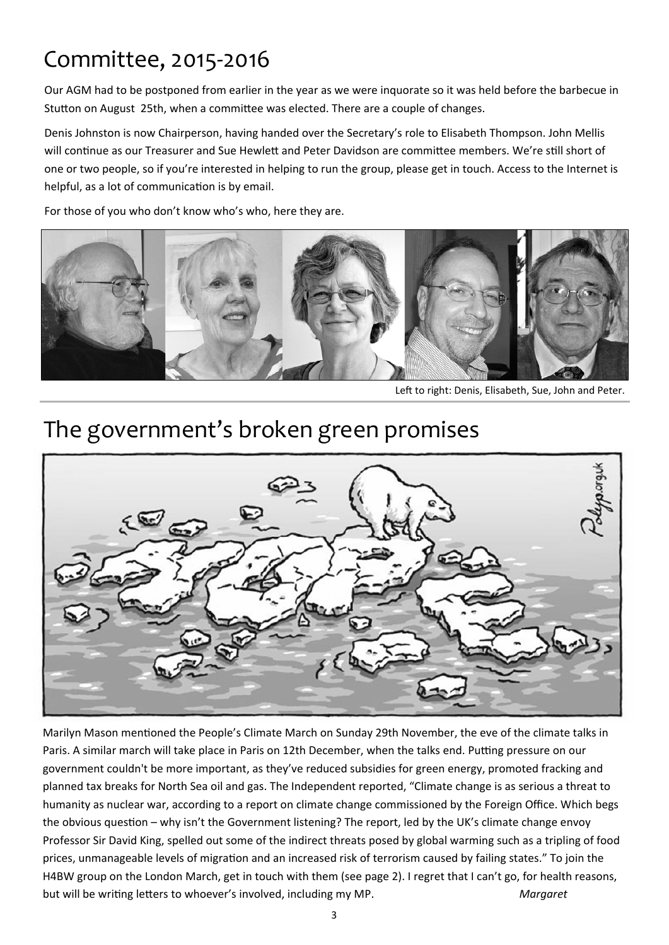## Committee, 2015‐2016

Our AGM had to be postponed from earlier in the year as we were inquorate so it was held before the barbecue in Stutton on August 25th, when a committee was elected. There are a couple of changes.

Denis Johnston is now Chairperson, having handed over the Secretary's role to Elisabeth Thompson. John Mellis will continue as our Treasurer and Sue Hewlett and Peter Davidson are committee members. We're still short of one or two people, so if you're interested in helping to run the group, please get in touch. Access to the Internet is helpful, as a lot of communication is by email.

For those of you who don't know who's who, here they are.



Left to right: Denis, Elisabeth, Sue, John and Peter.

## The government's broken green promises



Marilyn Mason mentioned the People's Climate March on Sunday 29th November, the eve of the climate talks in Paris. A similar march will take place in Paris on 12th December, when the talks end. Putting pressure on our government couldn't be more important, as they've reduced subsidies for green energy, promoted fracking and planned tax breaks for North Sea oil and gas. The Independent reported, "Climate change is as serious a threat to humanity as nuclear war, according to a report on climate change commissioned by the Foreign Office. Which begs the obvious question – why isn't the Government listening? The report, led by the UK's climate change envoy Professor Sir David King, spelled out some of the indirect threats posed by global warming such as a tripling of food prices, unmanageable levels of migration and an increased risk of terrorism caused by failing states." To join the H4BW group on the London March, get in touch with them (see page 2). I regret that I can't go, for health reasons, but will be writing letters to whoever's involved, including my MP. *Margaret*